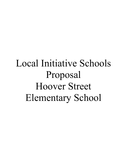# Local Initiative Schools Proposal Hoover Street Elementary School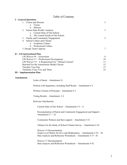# Table of Contents

| <b>I</b> – General Questions                                                                                                                                        |    |
|---------------------------------------------------------------------------------------------------------------------------------------------------------------------|----|
| 1. Vision and Mission                                                                                                                                               | 3  |
| a. Vision                                                                                                                                                           |    |
| b. Mission                                                                                                                                                          |    |
| 2. School Data Profile/ Analysis                                                                                                                                    | 3  |
| a. Current State of Our School                                                                                                                                      |    |
| b. The Central Needs of Our School                                                                                                                                  |    |
| 3. Family and Community Engagement                                                                                                                                  | 5  |
| 4. School Culture and Climate                                                                                                                                       |    |
| a. Academic Culture                                                                                                                                                 |    |
| b. Professional Culture                                                                                                                                             |    |
| 5. Design Team Capacity                                                                                                                                             | 7  |
| II - LIS Instructional Plan                                                                                                                                         |    |
| LIS Waiver #4 - Assessment                                                                                                                                          | 8  |
| LIS Waiver $# 7$ – Professional Development                                                                                                                         | 10 |
| LIS Waiver $# 9 - A$ Requirement for "Mutual Consent"                                                                                                               | 11 |
| Rational For the Autonomous Model Chosen                                                                                                                            | 12 |
| Timeline Year One                                                                                                                                                   | 13 |
| Timelines Years Two and Three                                                                                                                                       | 14 |
| <b>III</b> – Implementation Plan                                                                                                                                    |    |
| <b>Attachments</b>                                                                                                                                                  |    |
| Letter of Intent – Attachment #1                                                                                                                                    |    |
| Petition with Signatures, including Staff Roster – Attachment # 2                                                                                                   |    |
| Written Consent of Principal - Attachment # 3                                                                                                                       |    |
| Voting Results – Attachment $#4$                                                                                                                                    |    |
| <b>Relevant Attachments:</b>                                                                                                                                        |    |
| Current State of Our School – Attachments $# 5 - 6$                                                                                                                 |    |
| Documentation of Parent and Community Engagement and Support -<br>Attachment # $7 - 22$                                                                             |    |
| Community Partners and their support – Attachment $#23$                                                                                                             |    |
| Alliance for the Study of School Climate Survey – Attachment #24                                                                                                    |    |
| Waiver $# 4$ Documentation<br>Grade Level Matrix for ELA and Mathematics – Attachments $#25 - 36$<br>Data Analysis and Reflection Worksheets - Attachments #37 - 41 |    |
| Waiver #7 Documentation                                                                                                                                             |    |

Data Analysis and Reflection Worksheets – Attachments # 42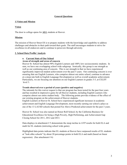## **General Questions**

## **1.Vision and Mission**

## **Vision**

The door to college opens for **ALL** students at Hoover.

#### **Mission**

The mission of Hoover Street ES is to prepare students with the knowledge and capability to address challenges and obstacles in their path toward their goals. The staff encourages students to strive for excellence in all endeavors and to continue to persevere through adversity.

#### **2. School Data Profile/ Analysis**

## **a. Current State of Our School**

#### **Areas of strength and areas of concern**

Hoover St. School has almost 90% English Learners and 100% low socioeconomic students. In sum, we have one overlapping school wide subgroup. Ironically, this group is our strength as well as our continuing area of concern. This is our strength in that we have experienced significantly improved student achievement over the past 5 years. Our continuing concern is over ensuring that our English Learners, who comprise almost our entire school, continue to advance at a steep rate both in English Language Development as well as overall academic achievement. Particularly, we are focusing our attention on our English Learners in grades 3-5, at CELDT level 3.

#### **Trends observed over a period of years (positive and negative)**

The rationale for this waiver request is that our program has been tested for the past four years and has resulted in impressive gains for all Hoover students, including English Learners who comprise almost our entire student body. The following points provide evidence of the effect of our existing program on the achievement of Hoover students.

English Learners at Hoover St. School have experienced significant increases in academic achievement and English Language Development, most recently earning our school a place as one of the 13 LAUSD schools that posted Far Above Predicted achievement for the past 3 years.

Hoover St. School was also named an Honor Roll School, by the California Business for Educational Excellence for being a High Poverty, High Performing, and Achievement Gap Closing School for 2011, 2012 and 2013.

Data displays in attachment # 5 demonstrate the steep incline in AYP results for both ELA and math for EL students (mirroring school wide gains).

Highlighted data points indicate that EL students at Hoover have surpassed results of EL students at "look alike schools" by about 20 percentage points in both ELA and math (based on linear regression). (See attachment  $# 6$ )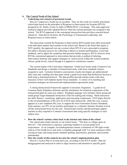#### **b. The Central Needs of Our School**

#### • **Underlying root cause(s) of persistent trends**

Hoover's impressive results are no accident. They are the result of a clearly articulated school plan based on the principles of Response to Intervention for Systems (RTI-S), designed by Dr. Robin Avelar La Salle of PRINCIPAL's Exchange. This state-approved technical support provider adopted Hoover when the current principal was assigned to the school. The RTI-S approach is the conceptual intersection between three research-based initiatives: Data-driven Systems, the Psychology of Turnaround Leadership, and Responsiveness to Intervention.

The innovation extends the Response to Intervention (RTI) model most often associated with individual student interventions to the school unit. Based in the belief that equity is NOT equality, the approach sets up a system where RTI-S is not a prescriptive program, but rather a dynamic process for collecting evidence to monitor performance, to provide feedback, and to adjust the conditions that promote further progress. RTI-S, borrows from RTI the customized approach to intervention that provides a method of tailoring intervention intensity and support strategies to various levels within the system (students, classes, grade-levels, school) though it is applied in a distinctive manner.

The system begins with Curriculum Alignment. Grade-level teams study Common Core Standards and design a calendar of instructional units, with focus standards clusters assigned to each. Common formative assessments, locally developed, are administered after each unit, yielding rich data upon which a grade-level team Data Reflection Session is held using a structured protocol. The data profiles provide teacher teams with clear measures of how well students master focus standards. A variety of re-teaching and extension strategies are discussed and implementation agreements made.

A strong Instructional Framework supports Curriculum Alignment. A grade-level Common Daily Schedules delineate specific timeframes for technical components of the instructional plan for each core subject. Reading/Language Arts includes whole group and small group Target Standards Instruction (TSI) for reading and writing. Math instruction has daily fluency, visualizing, application and reasoning components. ELD aligns directly to the recommendations of the new ELA/ELD state framework, while this year, science appears as a new emphasis this year, to support the Next Generation Science Standards. Each summer, our 95% of our teachers participate in a voluntary Summer Institute to kick off the instructional focus for the year. Instructional coaches and the principal support teachers as they respond to Common Assessment data using specific strategies in each subject area.

#### • **How the school's actions relate back to the mission and vision of the school**

Our school plan relates directly to our school motto: "The door to college opens at Hoover!" Our instruction is rigorous, expecting students to exceed grade-level expectations. As an example, our kindergarteners master a minimum of 100 sight words, read at a First Grade level, and write a complete paragraph with 3 or more sentences while staying on topic and using mostly standard spelling, punctuation, grammar, and accurate penmanship.

#### • **How the results of this analysis ties into the school's implementation plan**  Hoover's Action Plan is revised each year, according to the RTI-S model. Data are disaggregated and analyzed in order to align resources and attention to specific goals.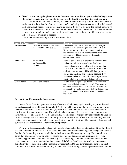### **a. Based on your analysis, please identify the most central and/or urgent needs/challenges that the school seeks to address in order to improve the teaching and learning environment.**

Building on the analysis above, this section should identify 3 to 5 issues that must be addressed for the school's efforts to be successful, including instructional as well as behavioral and operational needs. The issues identified should be key to helping the school achieve its vision of the successful future graduate and the overall vision of the school. It is also important to provide a sound rationale, supported by evidence that leads you to identify these as the school's highest priorities to address.

| <b>Priorities Areas</b> | Focus                                                      | <b>Rationale</b>                                                                                                                                                                                                                                                                                                                                                                                      |
|-------------------------|------------------------------------------------------------|-------------------------------------------------------------------------------------------------------------------------------------------------------------------------------------------------------------------------------------------------------------------------------------------------------------------------------------------------------------------------------------------------------|
| <b>Instructional</b>    | ELD and academic achievement<br>for EL's at CELDT level 3. | The evidence for this comes from the data analysis<br>presented in the previous question. While EL's at<br>Hoover are far exceeding expectations, students at<br>the Intermediate level are not improving at the same<br>rate as others. This is the primary focus of our<br>current Action Plan.                                                                                                     |
| <b>Behavioral</b>       | Be Respectful<br>Be Responsible<br>Be Safe                 | Hoover Street wants to promote a sense of pride.<br>and community for its students. Students,<br>parents, teachers, and staff must work together<br>to create and maintain a respectful, responsible<br>and safe environment. This will then promote<br>exemplary teaching and learning because they<br>have established a school climate that promotes<br>positive behaviors among all stakeholders. |
| <b>Operational</b>      | Safe, clean campus                                         | A safe, clean campus helps students feel comfortable<br>and better able to focus on their work. This helps to<br>eliminate added stress. A safe and clean environment<br>additionally promotes principles that the students can<br>practice at school, in their homes and throughout<br>their lives.                                                                                                  |

The primary issues needing specific attention include:

## **3. Family and Community Engagement**

Hoover Street ES offers parents a variety of ways in which to engage in learning opportunities and support services that would benefit their child. At this time Hoover offers the following programs from the school site: Mind Institute in the home (Jiji Math), Accelerated Reader Parent website and daily notification of student progress, monthly professional development that centers on encouraging parent involvement (see attachment # 7 - 22), and monthly reading logs as requested by the School Site Council in 2012. In conjunction with our 18 community partners Hoover street offers services including medical, dental, vision, counseling for students and their families, and other topics that have previously concerned our parents (see attachment # 23 for community partners).

While all of these services have been both beneficial and valuable to our students and their families, it has come to many of our staff that more could be done to additionally encourage and engage our students' families. In the coming year we would like to institute a monthly morning meeting. Each month on a given day, classrooms would be open for parents to come into the rooms and informally meet with teachers, Appointments would not be necessary and the meetings would be centered on the activities/ target standards occurring at that time in the room. This "Open Door" activity would give parents an opportunity to see their child in the classroom environment and to also give teachers a time to interact with parents in a more relaxed and inviting manner. The usual meetings between parents and staff can be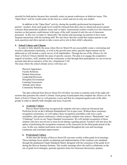stressful for both parties because they normally center on parent conferences or behavior issues. This "Open Door" activity would center on the class as a whole and not on only one student.

In addition to the "Open Door" activity, during the monthly professional development for parents', teachers, from each grade level would be released from their class to attend and answer parent concerns about particular academic issues and/ or topics. Instructional coaches would cover the classroom teachers so that parents could interact with many of the staff, instead of only the out of classroom personnel. In this way we hope to "demystify" the teacher and encourage our parents to have more frequent interactions with the teaching staff. We also know that this would then inspire parents to ask more questions and allow parents to take a more active role in their child's education.

#### **4. School Culture and Climate**

In order to fully identify the areas where Hoover Street ES can successfully create a welcoming and inventive educational community, as well as the growth areas where specific improvements can be addressed we will include a yearly survey of all stakeholders. Through the use of the *Alliance for the Study of School Climate* identify the areas of specific concern. The plan is to engage the cooperative support of teachers, staff, students and the community so that through their participation we can reveal an accurate data-driven narrative of the site. (Attachment  $# 24$ ) The areas where the school climate survey will focus are:

Physical Appearance Faculty Relations Student Interactions Leadership/Decisions Discipline Environment Learning/Assessment Attitude and Culture Community Relations

The data collected from Hoover Street ES will allow our team to examine each of the eight subsections that generates the school's climate. Each group of participants that complete the *Alliance for the Study of School Climate Survey* will generate a score and then be compared against each of the other groups in order to identify both strengths and areas of growth.

#### **a. Academic Culture**

Hoover Street School has recognized the students who have achieved Advanced and Proficient levels on the California Standardized Test in past years. Without these customary recognition ceremonies, we will replace those recognition assemblies with twice yearly assemblies, after parent conferences, which recognize students who achieve "Benchmark" and "Challenge" levels on our Target Standard Assessments. We will include recognition of those students who have moved one or more levels during a grading period. Teachers will also have the option of preforming the recognition ceremony in the classroom for the third grade period of the year. In this way student motivation can be sustained throughout the year and encourage continuous and consistent improvement.

#### **b. Professional Culture**

At this time the faculty of Hoover Street ES convenes weekly within grade level meetings. These meetings focus mainly on planning and implementation of the common core standards through the preplanned Target Standards Matrix designed with the consensus of the grade level during the Hoover Summer Institute. The weekly meetings allow the staff to collaborate on the use of grade level strategies, generate question stems for classroom discussions, prepare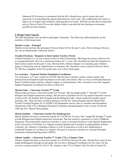Enhanced ELD lessons to correspond with the RLA theme/focus, and to ensure that each classroom is incorporating the agreed upon practices each week. This collaboration has lead to a high level of respect and confidence among grade level teams. With the use the above-mentioned survey, Hoover Street ES can take further strides to provide the best learning environment possible for their students.

## **5. Design Team Capacity**

The staff and parents were invited to participate voluntarily. The following staff and parents are the members of the design team:

## **Martha Avelar – Principal**

Martha Avelar has been the principal of Hoover Street ES for the past 5 years. Prior to being at Hoover, she was an administrator within the district.

## **Claudia Orochena - Response to Intervention Teacher, Parent**

Claudia Orochena is a 16-year veteran at Hoover Street Elementary. She began her career at Hoover ES as a paraprofessional. She was a classroom teacher for 11 years. Ms. Orochena has been the Response to Intervention teacher for the past 5 years. She has both a Masters Degree in Counseling and a Masters degree in Education with an Administrative Credential. Ms. Orochena is also a parent of Hoover Street ES. She has a daughter in the First grade and a son in the Fourth grade.

## **Lee Arsenian – Targeted Student Population Coordinator**

Lee Arsenian is a 27-year veteran of LAUSD. She has been a teacher, mentor, master teacher and professional development leader/facilitator on-site and in the district. She is a twice-certificated National Board Certified teacher and has a Masters degree in Administration. Miss Arsenian is now the Targeted Student Population Coordinator for Hoover Street ES.

## **Marina Salas – Classroom Teacher 2nd Grade**

Marina Salas has been a classroom teacher for 28 years. She has taught grades  $1<sup>st</sup>$  through  $5<sup>th</sup>$  in both bilingual and English Immersion settings. She has been a facilitator for two key parent education courses at Hoover ES: the Healthy Start Program and the Bilingual Cadre, which conducted monthly parent meetings. Ms.. Salas has been a District Instructor for the Pre- Intern Program and the Master Plan Teacher Training Program for CLAD/BCLAD preparation classes. She is a member and intermittent chairperson of the UTLA Bilingual Education Committee and participated in the revision of both the 1996 and 2011 Master Plan program.

## **Marisé Samitier - Classroom Teacher Pre-Kindergarten**

Marisé Samitier has been a classroom teacher for LAUSD for 24 years. She's taught PK through  $5<sup>th</sup>$  grade in both Bilingual and English immersion classrooms. She has extensive experience in Early Childhood Education. Her professional experience includes 2 years as Assistant Professor in the Spanish Department at the University of California Los Angeles teaching Spanish and Literature to undergraduate students. Currently, Ms. Samitier is finishing a Master of Arts in Education as well as the Administrative Credential Program at Cal State Los Angeles. Her goal is to pursue a position as Assistant Principal Elementary Instructional Specialist (APEIS).

## **Alfonso Aguilar – Classroom Teacher 1st Grade, UTLA Chapter Chair**

Alfonso Aguilar has been a classroom teacher in LAUSD for the past 28 years. During those years he has taught Kindergarten through second grade. He was also a Bilingual Coordinator for two years. He has served as a master teacher for UCLA. Mr. Aguilar is the UTLA Chapter Chair for Hoover Street ES.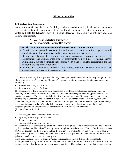## **LIS Instructional Plan**

## **LIS Waiver #4 - Assessment**

Local Initiative Schools have the flexibility to choose and/or develop local interim benchmark assessments, tests, and pacing plans, aligned with and equivalent to District requirements (e.g., Gifted and Talented Education (GATE), algebra placement) and complying with any State and Federal requirement.

## **X Yes, we are selecting this waiver**

## □ No, we are not selecting this waiver

**How will the school use assessment autonomy? Your response should:**

- Describe the school-wide assessment plan that will be used to monitor progress toward the identified instructional goals and to make instructional decisions.
- If you are planning to develop your own assessment, describe the process of development and explain what type of assessments you will use (formative and/or summative). Include a timeline that outlines your plans to develop assessments for the school in the implementation plan.
- Identify the accountability measures and metrics that will be used to evaluate the effectiveness of the school's assessment plan.

Hoover Elementary has implemented locally developed interim assessments for the past 4 years. Part of our comprehensive "Curriculum Alignment" process, our interim assessment system comprises the following:

- 5 assessments per year for ELA
- 5 assessments per year for Math

The assessments follow a Common Core Standards Matrix for each subject and grade. All students including all Students with Disabilities, who do not have a severe cognitive deficit, participate in these interim assessments. The year is divided into 5 teaching periods (about 30 teaching days apart), each emphasizing a Common Core Standards Cluster of 4 focus standards. (Note: Previously, each unit contained 5 target standards, but our new Common Core-aligned versions emphasize depth of knowledge and integration and overlap of standards by assessing a cluster of only primary 4 standards, and supporting them with other related standards through instructional unit planning.) **(**See Attachments # 25-36)

The design of each assessment is as follows:

- 4 primary standards per assessment
- 5 items per standard
- 1 constructed response writing item

The assessments are developed by grade-level teacher during week-long summer institutes, and followed up during scheduled PD and staff meeting times throughout the school year. Hoover Interim Assessments are "of the teachers, by the teachers, and for the teachers," as we like to say. As such, teachers have a great deal of buy-in to the design, which explains the 100% implementation, and the impressive academic gains students have made over the past 4 years.

Items testing grades (grades  $3-5$ , and  $2<sup>nd</sup>$  grade in preparation) include SBAC-like task models. A comprehensive study of the Common Core Standards and the SBAC technical specifications inform the teachers as they identify, modify or create assessment items. Care is taken to ensure that each assessment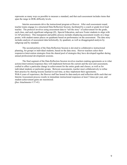represents as many ways as possible to measure a standard, and that each assessment includes items that span the range in DOK difficulty levels.

Interim assessments drive the instructional program at Hoover. After each assessment round, teacher teams engage in a structured Data Reflection Session, facilitated by a coach or grade-level lead teacher. The protocol involves using assessment data to "tell the story" of achievement for the grade, each class, and each significant subgroup (EL, Special Education, and now Foster students to align with LCAP priorities). This transparent and public process includes displaying assessment results on a large poster, with student names places on quadrants based on performance on the assessment. The data story includes analysis of assessment data holistically, by quadrant, as well as disaggregated analysis by subgroup and by standard.

The second portion of the Data Reflection Session is devoted to collaborative instructional planning, for groups or individual students, based on the data story. Hoover teachers select their responsive/intervention strategies from the shared pool of strategies they have developed together during annual professional development sessions.

The final segment of the Data Reflection Session involves teachers making agreements as to what actions/interventions/responses they will implement between the current and the next unit assessment, crafted to affect a particular change in achievement for the entire grade and classes, as well as for individual students or particular groups. Between assessments, teacher meet collaboratively to refine their practice by sharing lessons learned in real time, as they implement their agreements. With 4 years of experience, the Hoover staff has honed its data-analysis and reflection skills such that our Interim Assessment process results in immediate instructional responses at least 5 times per year, and student achievement gains are maximized. **(**See Attachments # 37-41)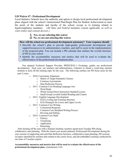## **LIS Waiver #7 - Professional Development**

Local Initiative Schools have the authority and option to design local professional development plans aligned with the school's Instructional Plan/Single Plan for Student Achievement to meet the needs of the students and faculty of the school, except as to training related to legal/compliance mandates. *(All State and Federal mandates remain applicable, as well as court orders and consent decrees.)*

- **X Yes, we are selecting this waiver**
- □ No, we are not selecting this waiver

## **How will the school use professional development autonomy? Your response should**:

- Describe the school's plan to provide high-quality professional development and support/resources to its administrators, teachers, and staff to assist in the implementation of the proposed plan. You can include a PD calendar that outlines the overall structure of PD at your school.
- Identify the accountability measures and metrics that will be used to evaluate the effectiveness of the professional development plan.

Our adopted Technical Support Provider, PRINCIPAL's Exchange, guides our professional development. Each year, our teachers and administrators volunteer to attend a week-long summer institute to kick off the training topic for the year. The following outlines our PD focus areas for the past 5 years:

- o 2010: Curriculum Alignment
	- o Matrix of Target Standards Clusters
	- o Common Assessments
	- o Data Reflection Process
- o 2011: Common Core Reading/Language Arts
	- o Word Study
	- o Whole Group Direct Instruction Standard Lesson
	- o Small Group Leveled Guided Reading and Centers
- o 2012: English Language Development
	- o ELD Leveling and Teaming Structure
	- o ELD Strategies for Lower and Upper Levels
- o 2013: Common Core Writing
	- o Constructed Response
	- o Common Core Morphed Writing Process
	- o Revising and Editing
- o 2014: Common Core Math
	- o Fluency
	- o Visualizing
	- o Application
	- o Reasoning

After kicking off the year with a Summer Institute, teachers spend most Tuesday PDs doing collaborative unit planning. With the school year mostly planned, Professional Development during the year consists of supporting unit-end Data Reflection Sessions, collaborative team planning, PD sessions on topics identified by teachers that related to the yearly focus, and job-embedded coaching conducted by our team of 5 teacher experts.

## **Accountability measures and metrics that will be used to evaluate the effectiveness of the professional development plan.** (Attachment # 42)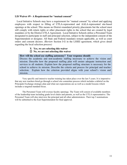## **LIS Waiver #9 - A Requirement for "mutual consent"**

Local Initiative Schools may have a requirement for "mutual consent" by school and applying employees with respect to filling of UTLA-represented and AALA-represented site-based openings at the school. This means no District-mandated priority placements but the school must still comply with return rights or other placement rights to the school that are created by legal mandates or by the District-UTLA Agreement. Local Initiative Schools utilize a Personnel Team designated to participate in staff and principal selection, subject to the independent consent of the Superintendent or designee. All State and Federal mandates remain applicable, as well as court orders and consent decrees. (Review Section I-G in the LSSEI agreement, which gives detail regarding the local selection process)

## **X Yes, we are selecting this waiver**

□ No, we are not selecting this waiver

## **How will the school use staffing autonomy? Your response should:**

Discuss the academic and non-academic staffing necessary to achieve the vision and mission. Describe how the proposed staffing plan will ensure adequate instruction and services to all students. Explain how the proposed staffing structure is necessary for the school to achieve its mission. Describe the criteria and process for principal and teacher selection. Explain how the criterion provided aligns with your school's vision and mission.

Very specific and intensive teacher training has taken place over the last 5 years. It is imperative that any new teachers hired go through a school site committee process which includes a debrief on the Principals Exchange strategic plan and what our expectations are as well as a model lessons which includes a targeted standard focus.

The Personnel Team will oversee faculty openings. The Team will consist of available members of the leadership team including grade level chairs and parents, as well as the UTLA representative. The Personnel Team will also interview the principal and all other administrators. Their top 3 nominations will be submitted to the East Superintendent for final approval.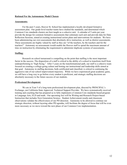#### **Rational For the Autonomous Model Chosen**

#### **Assessments:**

For the past 5 years, Hoover St. School has implemented a locally developed formative assessment plan. Our grade-level teacher teams have studied the standards, and determined which Common Core standards clusters are best taught as a cohesive unit. A calendar of 5 units per year provide the design for common formative assessments that culminate each unit and provide data for Data Reflection Sessions, aimed at creating instructional action plans and interventions for students. We have been administering our own assessments that absolutely drive instruction, as well as district assessments. These assessments are highly valued by staff as they are "of the teachers, by the teachers and for the teachers!" Autonomy on assessments would enable the Hoover staff to spend the maximum amount of time on instruction by eliminating the requirement to administer duplicate systems of assessments.

#### **Staffing:**

Research on school turnaround is compelling on the point that staffing is the most important factor in the success. The disposition of a staff is critical to the ability of a school to transform itself from underperforming to "high flying." After 5 years on the transformational path, our staff is a cohesive team focused on creating a college-going culture and honing our instructional and leadership skills aimed at that goal. Autonomy in staffing decisions, both certificated and classified, is critical to continuing the aggressive rate of our school improvement trajectory. While we have experienced great academic gains, we still have a long way to go before every student is proficient, and strategic staffing decisions are absolutely necessary to the future success of our students.

#### **Professional Development:**

We are in Year 5 of a long-term professional development plan, directed by PRINCIPAL's Exchange, our California State Approved, Technical Support Provider. We have systematically received training and coaching that has prepared us to fully implement a Common Core standards-based program in Language Arts, ELD and math. Our upcoming foci will be Writing and Research Project-based Instruction that includes Next Generation Science. Student Achievement results and classroom observations validate the effectiveness of our PD direction. Autonomy to be allowed to continue our strategic direction, without layering other PD agendas, will facilitate the degree of focus that will be even more necessary as we move toward the next phase of our Common Core implementation.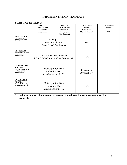## IMPLEMENTATION TEMPLATE

| YEAR ONE TIMELINE:                                                                                           |                                                                              |                                                                                              |                                                                          |                                           |  |  |  |
|--------------------------------------------------------------------------------------------------------------|------------------------------------------------------------------------------|----------------------------------------------------------------------------------------------|--------------------------------------------------------------------------|-------------------------------------------|--|--|--|
|                                                                                                              | <b>PROPOSAL</b><br><b>ELEMENT:</b><br>Waiver #4<br><b>Assessment</b>         | <b>PROPOSAL</b><br><b>ELEMENT:</b><br>Waiver #7<br><b>Professional</b><br><b>Development</b> | <b>PROPOSAL</b><br><b>ELEMENT:</b><br>Waiver #9<br><b>Mutual Consent</b> | <b>PROPOSAL</b><br><b>ELEMENT:</b><br>N/A |  |  |  |
| <b>RESPONSIBILITY</b><br>Who will lead the<br>implementation of this<br>element?                             | Principal<br><b>Instructional Team</b><br><b>Grade-Level Facilitators</b>    |                                                                                              | N/A                                                                      |                                           |  |  |  |
| <b>RESOURCES</b><br>What resources are needed<br>for successful<br>implementation?                           | <b>State and District Websites</b><br><b>RLA. Math Common-Core Framework</b> |                                                                                              | N/A                                                                      |                                           |  |  |  |
| <b>EVIDENCE OF</b><br><b>SUCCESS</b><br>How will you know you are<br>making progress post<br>implementation? | <b>Metacognition Data</b><br><b>Reflection Data</b><br>Attachments #29 - 33  |                                                                                              | Classroom<br>Observations                                                |                                           |  |  |  |
| <b>EVALUATION</b><br><b>PROCESS</b><br>What mechanisms will you<br>use to measure progress?                  | <b>Metacognition Data</b><br><b>Reflection Data</b><br>Attachments #29 - 33  |                                                                                              | N/A                                                                      |                                           |  |  |  |

• **Include as many columns/pages as necessary to address the various elements of the proposal.**